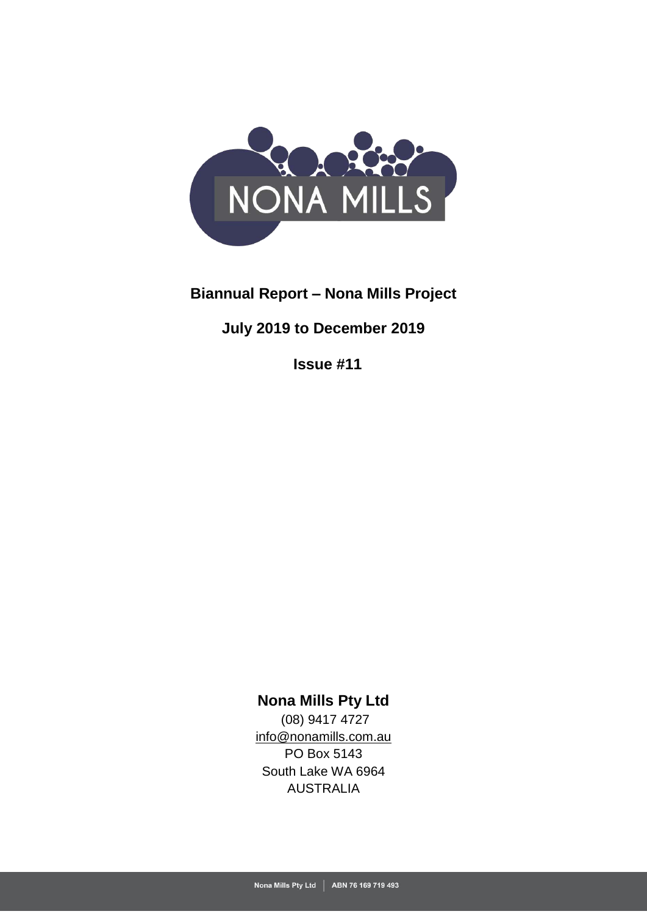

# **Biannual Report – Nona Mills Project**

# **July 2019 to December 2019**

**Issue #11**

# **Nona Mills Pty Ltd**

(08) 9417 4727 [info@nonamills.com.au](mailto:info@nonamills.com.au) PO Box 5143 South Lake WA 6964 AUSTRALIA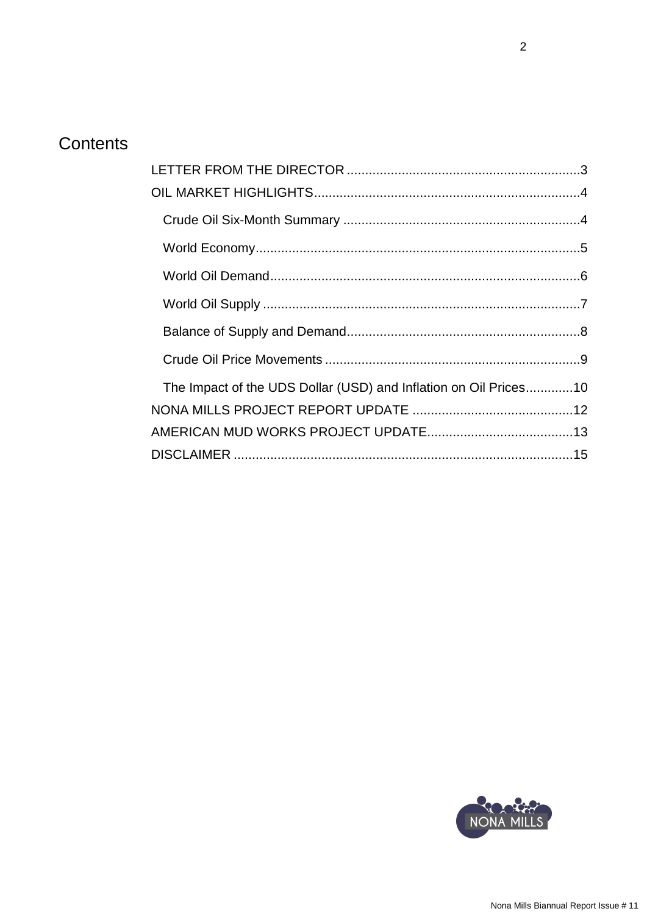# Contents

| The Impact of the UDS Dollar (USD) and Inflation on Oil Prices10 |  |
|------------------------------------------------------------------|--|
|                                                                  |  |
|                                                                  |  |
|                                                                  |  |

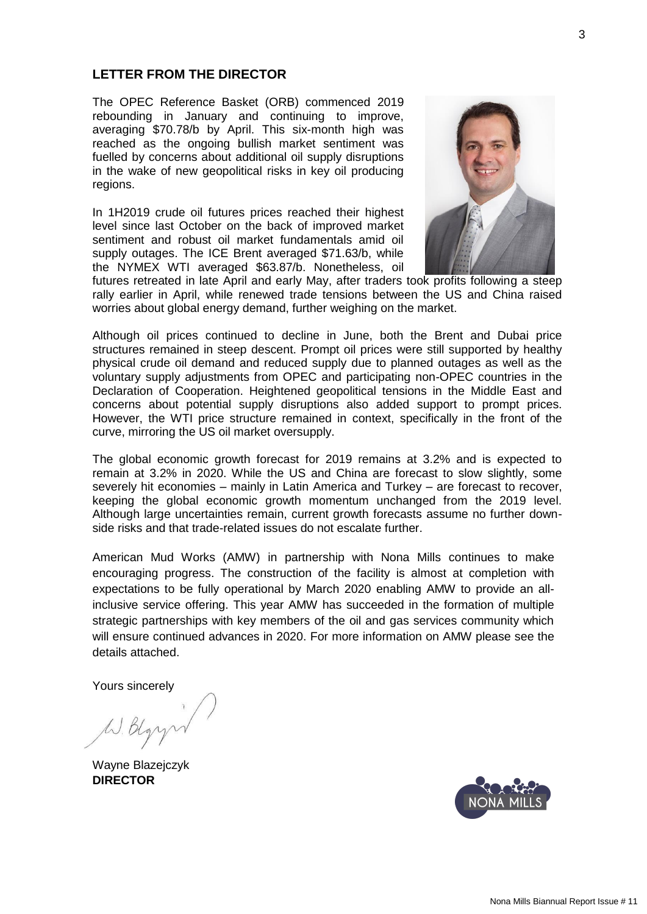## <span id="page-2-0"></span>**LETTER FROM THE DIRECTOR**

The OPEC Reference Basket (ORB) commenced 2019 rebounding in January and continuing to improve, averaging \$70.78/b by April. This six-month high was reached as the ongoing bullish market sentiment was fuelled by concerns about additional oil supply disruptions in the wake of new geopolitical risks in key oil producing regions.

In 1H2019 crude oil futures prices reached their highest level since last October on the back of improved market sentiment and robust oil market fundamentals amid oil supply outages. The ICE Brent averaged \$71.63/b, while the NYMEX WTI averaged \$63.87/b. Nonetheless, oil



futures retreated in late April and early May, after traders took profits following a steep rally earlier in April, while renewed trade tensions between the US and China raised worries about global energy demand, further weighing on the market.

Although oil prices continued to decline in June, both the Brent and Dubai price structures remained in steep descent. Prompt oil prices were still supported by healthy physical crude oil demand and reduced supply due to planned outages as well as the voluntary supply adjustments from OPEC and participating non-OPEC countries in the Declaration of Cooperation. Heightened geopolitical tensions in the Middle East and concerns about potential supply disruptions also added support to prompt prices. However, the WTI price structure remained in context, specifically in the front of the curve, mirroring the US oil market oversupply.

The global economic growth forecast for 2019 remains at 3.2% and is expected to remain at 3.2% in 2020. While the US and China are forecast to slow slightly, some severely hit economies – mainly in Latin America and Turkey – are forecast to recover, keeping the global economic growth momentum unchanged from the 2019 level. Although large uncertainties remain, current growth forecasts assume no further downside risks and that trade-related issues do not escalate further.

American Mud Works (AMW) in partnership with Nona Mills continues to make encouraging progress. The construction of the facility is almost at completion with expectations to be fully operational by March 2020 enabling AMW to provide an allinclusive service offering. This year AMW has succeeded in the formation of multiple strategic partnerships with key members of the oil and gas services community which will ensure continued advances in 2020. For more information on AMW please see the details attached.

Yours sincerely

W. Blgr

Wayne Blazejczyk **DIRECTOR**

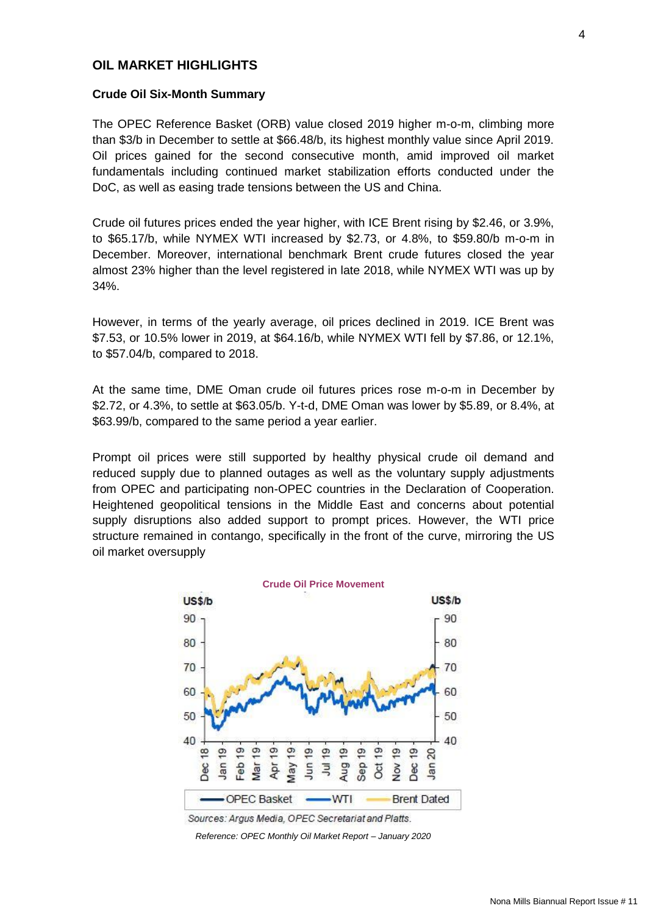## <span id="page-3-0"></span>**OIL MARKET HIGHLIGHTS**

### <span id="page-3-1"></span>**Crude Oil Six-Month Summary**

The OPEC Reference Basket (ORB) value closed 2019 higher m-o-m, climbing more than \$3/b in December to settle at \$66.48/b, its highest monthly value since April 2019. Oil prices gained for the second consecutive month, amid improved oil market fundamentals including continued market stabilization efforts conducted under the DoC, as well as easing trade tensions between the US and China.

Crude oil futures prices ended the year higher, with ICE Brent rising by \$2.46, or 3.9%, to \$65.17/b, while NYMEX WTI increased by \$2.73, or 4.8%, to \$59.80/b m-o-m in December. Moreover, international benchmark Brent crude futures closed the year almost 23% higher than the level registered in late 2018, while NYMEX WTI was up by 34%.

However, in terms of the yearly average, oil prices declined in 2019. ICE Brent was \$7.53, or 10.5% lower in 2019, at \$64.16/b, while NYMEX WTI fell by \$7.86, or 12.1%, to \$57.04/b, compared to 2018.

At the same time, DME Oman crude oil futures prices rose m-o-m in December by \$2.72, or 4.3%, to settle at \$63.05/b. Y-t-d, DME Oman was lower by \$5.89, or 8.4%, at \$63.99/b, compared to the same period a year earlier.

Prompt oil prices were still supported by healthy physical crude oil demand and reduced supply due to planned outages as well as the voluntary supply adjustments from OPEC and participating non-OPEC countries in the Declaration of Cooperation. Heightened geopolitical tensions in the Middle East and concerns about potential supply disruptions also added support to prompt prices. However, the WTI price structure remained in contango, specifically in the front of the curve, mirroring the US oil market oversupply



Sources: Argus Media, OPEC Secretariat and Platts.

*Reference: OPEC Monthly Oil Market Report – January 2020*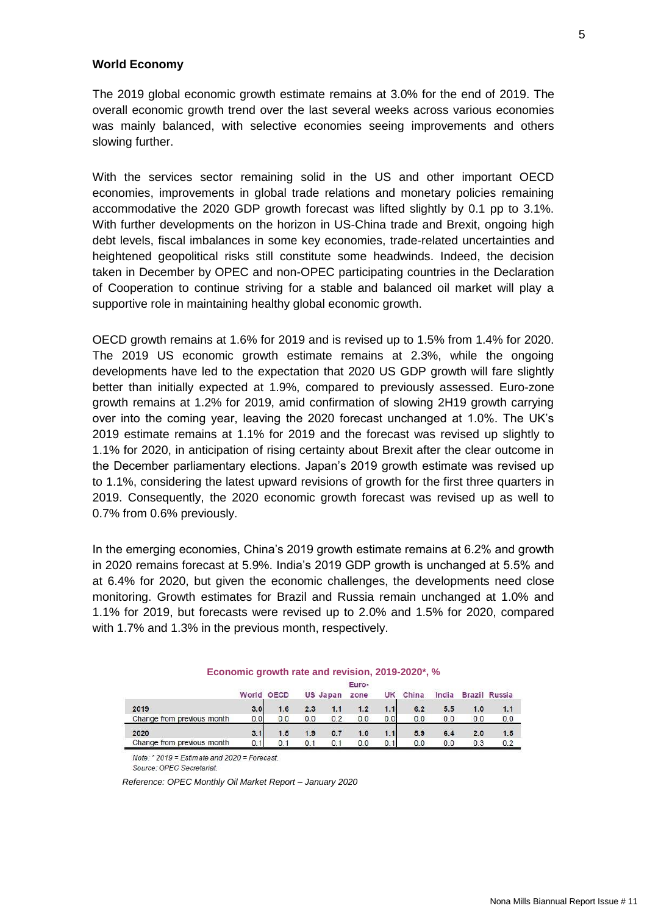### <span id="page-4-0"></span>**World Economy**

The 2019 global economic growth estimate remains at 3.0% for the end of 2019. The overall economic growth trend over the last several weeks across various economies was mainly balanced, with selective economies seeing improvements and others slowing further.

With the services sector remaining solid in the US and other important OECD economies, improvements in global trade relations and monetary policies remaining accommodative the 2020 GDP growth forecast was lifted slightly by 0.1 pp to 3.1%. With further developments on the horizon in US-China trade and Brexit, ongoing high debt levels, fiscal imbalances in some key economies, trade-related uncertainties and heightened geopolitical risks still constitute some headwinds. Indeed, the decision taken in December by OPEC and non-OPEC participating countries in the Declaration of Cooperation to continue striving for a stable and balanced oil market will play a supportive role in maintaining healthy global economic growth.

OECD growth remains at 1.6% for 2019 and is revised up to 1.5% from 1.4% for 2020. The 2019 US economic growth estimate remains at 2.3%, while the ongoing developments have led to the expectation that 2020 US GDP growth will fare slightly better than initially expected at 1.9%, compared to previously assessed. Euro-zone growth remains at 1.2% for 2019, amid confirmation of slowing 2H19 growth carrying over into the coming year, leaving the 2020 forecast unchanged at 1.0%. The UK's 2019 estimate remains at 1.1% for 2019 and the forecast was revised up slightly to 1.1% for 2020, in anticipation of rising certainty about Brexit after the clear outcome in the December parliamentary elections. Japan's 2019 growth estimate was revised up to 1.1%, considering the latest upward revisions of growth for the first three quarters in 2019. Consequently, the 2020 economic growth forecast was revised up as well to 0.7% from 0.6% previously.

In the emerging economies, China's 2019 growth estimate remains at 6.2% and growth in 2020 remains forecast at 5.9%. India's 2019 GDP growth is unchanged at 5.5% and at 6.4% for 2020, but given the economic challenges, the developments need close monitoring. Growth estimates for Brazil and Russia remain unchanged at 1.0% and 1.1% for 2019, but forecasts were revised up to 2.0% and 1.5% for 2020, compared with 1.7% and 1.3% in the previous month, respectively.

|                            |     | World OECD |     | <b>US Japan</b> | Euro-<br>zone | UK   | China | India |     | <b>Brazil Russia</b> |
|----------------------------|-----|------------|-----|-----------------|---------------|------|-------|-------|-----|----------------------|
|                            |     |            |     |                 |               |      |       |       |     |                      |
| 2019                       | 3.0 | 1.6        | 2.3 | 1.1             | 1.2           | 1.11 | 6.2   | 5.5   | 1.0 | 1.1                  |
| Change from previous month | 0.0 | 0.0        | 0.0 | 0.2             | 0.0           | 0.0  | 0.0   | 0.0   | 0.0 | 0.0                  |
| 2020                       | 3.1 | 1.5        | 1.9 | 0.7             | 1.0           | 1.1  | 5.9   | 6.4   | 2.0 | 1.5                  |
| Change from previous month | 0.1 | 0.1        | 0.1 | 0.1             | 0.0           | 0.1  | 0.0   | 0.0   | 0.3 | 0.2                  |

### **Economic growth rate and revision, 2019-2020\*, %**

Note: \* 2019 = Estimate and 2020 = Forecast.

Source: OPEC Secretariat.

 *Reference: OPEC Monthly Oil Market Report – January 2020*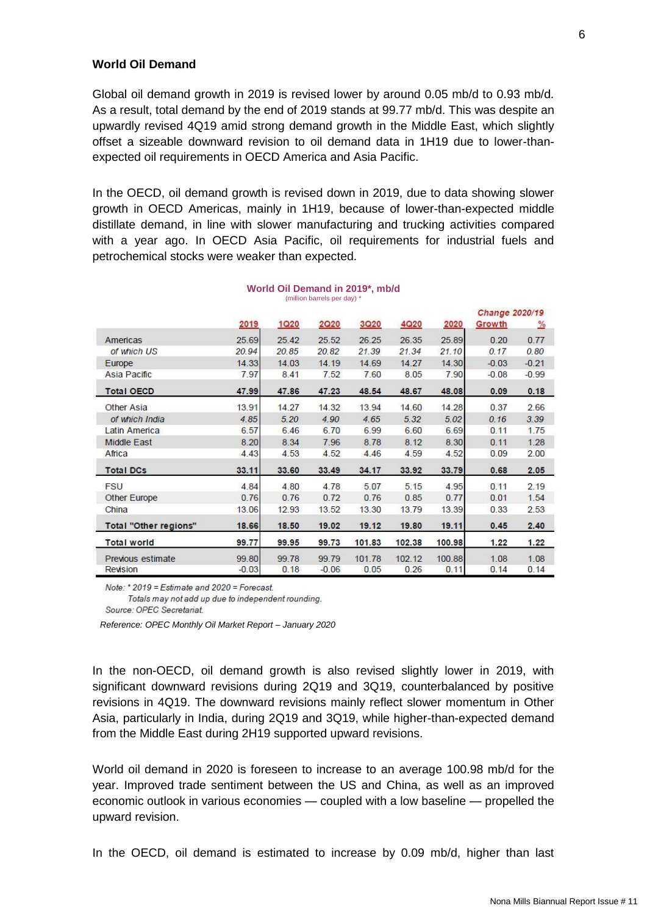### <span id="page-5-0"></span>**World Oil Demand**

Global oil demand growth in 2019 is revised lower by around 0.05 mb/d to 0.93 mb/d. As a result, total demand by the end of 2019 stands at 99.77 mb/d. This was despite an upwardly revised 4Q19 amid strong demand growth in the Middle East, which slightly offset a sizeable downward revision to oil demand data in 1H19 due to lower-thanexpected oil requirements in OECD America and Asia Pacific.

In the OECD, oil demand growth is revised down in 2019, due to data showing slower growth in OECD Americas, mainly in 1H19, because of lower-than-expected middle distillate demand, in line with slower manufacturing and trucking activities compared with a year ago. In OECD Asia Pacific, oil requirements for industrial fuels and petrochemical stocks were weaker than expected.

|                       | 2019    | 1Q20  | 2020    | <b>3Q20</b> | <b>4Q20</b> | 2020   | Growth  | $\frac{9}{6}$ |
|-----------------------|---------|-------|---------|-------------|-------------|--------|---------|---------------|
| Americas              | 25.69   | 25.42 | 25.52   | 26.25       | 26.35       | 25.89  | 0.20    | 0.77          |
| of which US           | 20.94   | 20.85 | 20.82   | 21.39       | 21.34       | 21.10  | 0.17    | 0.80          |
| Europe                | 14.33   | 14.03 | 14.19   | 14.69       | 14.27       | 14.30  | $-0.03$ | $-0.21$       |
| Asia Pacific          | 7.97    | 8.41  | 7.52    | 7.60        | 8.05        | 7.90   | $-0.08$ | $-0.99$       |
| <b>Total OECD</b>     | 47.99   | 47.86 | 47.23   | 48.54       | 48.67       | 48.08  | 0.09    | 0.18          |
| Other Asia            | 13.91   | 14.27 | 14.32   | 13.94       | 14.60       | 14.28  | 0.37    | 2.66          |
| of which India        | 4.85    | 5.20  | 4.90    | 4.65        | 5.32        | 5.02   | 0.16    | 3.39          |
| Latin America         | 6.57    | 6.46  | 6.70    | 6.99        | 6.60        | 6.69   | 0.11    | 1.75          |
| Middle East           | 8.20    | 8.34  | 7.96    | 8.78        | 8.12        | 8.30   | 0.11    | 1.28          |
| Africa                | 4.43    | 4.53  | 4.52    | 4.46        | 4.59        | 4.52   | 0.09    | 2.00          |
| <b>Total DCs</b>      | 33.11   | 33.60 | 33.49   | 34.17       | 33.92       | 33.79  | 0.68    | 2.05          |
| <b>FSU</b>            | 4.84    | 4.80  | 4.78    | 5.07        | 5.15        | 4.95   | 0.11    | 2.19          |
| Other Europe          | 0.76    | 0.76  | 0.72    | 0.76        | 0.85        | 0.77   | 0.01    | 1.54          |
| China                 | 13.06   | 12.93 | 13.52   | 13.30       | 13.79       | 13.39  | 0.33    | 2.53          |
| Total "Other regions" | 18.66   | 18.50 | 19.02   | 19.12       | 19.80       | 19.11  | 0.45    | 2.40          |
| <b>Total world</b>    | 99.77   | 99.95 | 99.73   | 101.83      | 102.38      | 100.98 | 1.22    | 1.22          |
| Previous estimate     | 99.80   | 99.78 | 99.79   | 101.78      | 102.12      | 100.88 | 1.08    | 1.08          |
| Revision              | $-0.03$ | 0.18  | $-0.06$ | 0.05        | 0.26        | 0.11   | 0.14    | 0.14          |

#### **World Oil Demand in 2019\*, mb/d** (million barrels per day) \*

Note: \* 2019 = Estimate and 2020 = Forecast.

Totals may not add up due to independent rounding.

Source: OPEC Secretariat.

*Reference: OPEC Monthly Oil Market Report – January 2020*

In the non-OECD, oil demand growth is also revised slightly lower in 2019, with significant downward revisions during 2Q19 and 3Q19, counterbalanced by positive revisions in 4Q19. The downward revisions mainly reflect slower momentum in Other Asia, particularly in India, during 2Q19 and 3Q19, while higher-than-expected demand from the Middle East during 2H19 supported upward revisions.

World oil demand in 2020 is foreseen to increase to an average 100.98 mb/d for the year. Improved trade sentiment between the US and China, as well as an improved economic outlook in various economies — coupled with a low baseline — propelled the upward revision.

In the OECD, oil demand is estimated to increase by 0.09 mb/d, higher than last

Change 2020/19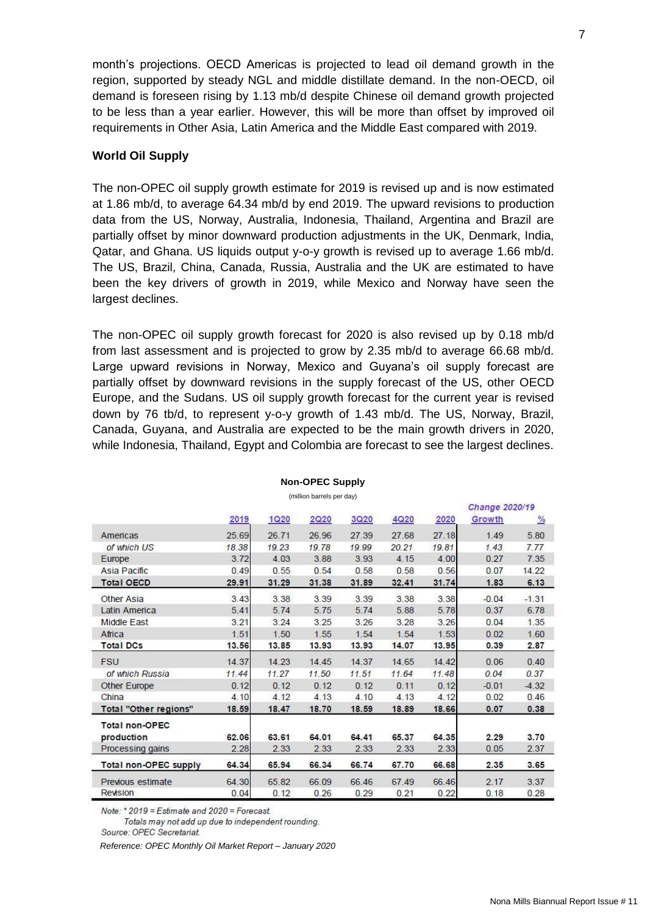month's projections. OECD Americas is projected to lead oil demand growth in the region, supported by steady NGL and middle distillate demand. In the non-OECD, oil demand is foreseen rising by 1.13 mb/d despite Chinese oil demand growth projected to be less than a year earlier. However, this will be more than offset by improved oil requirements in Other Asia, Latin America and the Middle East compared with 2019.

## <span id="page-6-0"></span>**World Oil Supply**

The non-OPEC oil supply growth estimate for 2019 is revised up and is now estimated at 1.86 mb/d, to average 64.34 mb/d by end 2019. The upward revisions to production data from the US, Norway, Australia, Indonesia, Thailand, Argentina and Brazil are partially offset by minor downward production adjustments in the UK, Denmark, India, Qatar, and Ghana. US liquids output y-o-y growth is revised up to average 1.66 mb/d. The US, Brazil, China, Canada, Russia, Australia and the UK are estimated to have been the key drivers of growth in 2019, while Mexico and Norway have seen the largest declines.

The non-OPEC oil supply growth forecast for 2020 is also revised up by 0.18 mb/d from last assessment and is projected to grow by 2.35 mb/d to average 66.68 mb/d. Large upward revisions in Norway, Mexico and Guyana's oil supply forecast are partially offset by downward revisions in the supply forecast of the US, other OECD Europe, and the Sudans. US oil supply growth forecast for the current year is revised down by 76 tb/d, to represent y-o-y growth of 1.43 mb/d. The US, Norway, Brazil, Canada, Guyana, and Australia are expected to be the main growth drivers in 2020, while Indonesia, Thailand, Egypt and Colombia are forecast to see the largest declines.

|                              |       |             |       |             |       |       | Change 2020/19 |               |
|------------------------------|-------|-------------|-------|-------------|-------|-------|----------------|---------------|
|                              | 2019  | <u>1Q20</u> | 2020  | <b>3Q20</b> | 4Q20  | 2020  | Growth         | $\frac{9}{6}$ |
| Americas                     | 25.69 | 26.71       | 26.96 | 27.39       | 27.68 | 27.18 | 1.49           | 5.80          |
| of which US                  | 18.38 | 19.23       | 19.78 | 19.99       | 20.21 | 19.81 | 1.43           | 7.77          |
| Europe                       | 3.72  | 4.03        | 3.88  | 3.93        | 4.15  | 4.00  | 0.27           | 7.35          |
| Asia Pacific                 | 0.49  | 0.55        | 0.54  | 0.58        | 0.58  | 0.56  | 0.07           | 14.22         |
| <b>Total OECD</b>            | 29.91 | 31.29       | 31.38 | 31.89       | 32.41 | 31.74 | 1.83           | 6.13          |
| Other Asia                   | 3.43  | 3.38        | 3.39  | 3.39        | 3.38  | 3.38  | $-0.04$        | $-1.31$       |
| Latin America                | 5.41  | 5.74        | 5.75  | 5.74        | 5.88  | 5.78  | 0.37           | 6.78          |
| Middle East                  | 3.21  | 3.24        | 3.25  | 3.26        | 3.28  | 3.26  | 0.04           | 1.35          |
| Africa                       | 1.51  | 1.50        | 1.55  | 1.54        | 1.54  | 1.53  | 0.02           | 1.60          |
| <b>Total DCs</b>             | 13.56 | 13.85       | 13.93 | 13.93       | 14.07 | 13.95 | 0.39           | 2.87          |
| <b>FSU</b>                   | 14.37 | 14.23       | 14.45 | 14.37       | 14.65 | 14.42 | 0.06           | 0.40          |
| of which Russia              | 11.44 | 11.27       | 11.50 | 11.51       | 11.64 | 11.48 | 0.04           | 0.37          |
| Other Europe                 | 0.12  | 0.12        | 0.12  | 0.12        | 0.11  | 0.12  | $-0.01$        | $-4.32$       |
| China                        | 4.10  | 4.12        | 4.13  | 4.10        | 4.13  | 4.12  | 0.02           | 0.46          |
| Total "Other regions"        | 18.59 | 18.47       | 18.70 | 18.59       | 18.89 | 18.66 | 0.07           | 0.38          |
| <b>Total non-OPEC</b>        |       |             |       |             |       |       |                |               |
| production                   | 62.06 | 63.61       | 64.01 | 64.41       | 65.37 | 64.35 | 2.29           | 3.70          |
| Processing gains             | 2.28  | 2.33        | 2.33  | 2.33        | 2.33  | 2.33  | 0.05           | 2.37          |
| <b>Total non-OPEC supply</b> | 64.34 | 65.94       | 66.34 | 66.74       | 67.70 | 66.68 | 2.35           | 3.65          |
| Previous estimate            | 64.30 | 65.82       | 66.09 | 66.46       | 67.49 | 66.46 | 2.17           | 3.37          |
| Revision                     | 0.04  | 0.12        | 0.26  | 0.29        | 0.21  | 0.22  | 0.18           | 0.28          |

### **Non-OPEC Supply**

(million barrels per day)

Note: \* 2019 = Estimate and 2020 = Forecast.

Totals may not add up due to independent rounding.

Source: OPEC Secretariat.

*Reference: OPEC Monthly Oil Market Report – January 2020*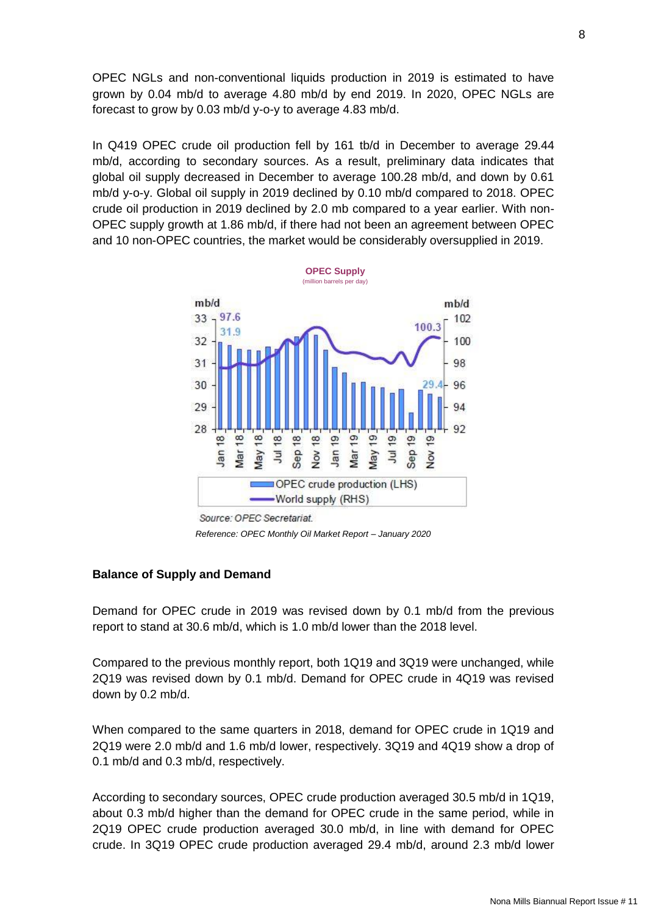OPEC NGLs and non-conventional liquids production in 2019 is estimated to have grown by 0.04 mb/d to average 4.80 mb/d by end 2019. In 2020, OPEC NGLs are forecast to grow by 0.03 mb/d y-o-y to average 4.83 mb/d.

In Q419 OPEC crude oil production fell by 161 tb/d in December to average 29.44 mb/d, according to secondary sources. As a result, preliminary data indicates that global oil supply decreased in December to average 100.28 mb/d, and down by 0.61 mb/d y-o-y. Global oil supply in 2019 declined by 0.10 mb/d compared to 2018. OPEC crude oil production in 2019 declined by 2.0 mb compared to a year earlier. With non-OPEC supply growth at 1.86 mb/d, if there had not been an agreement between OPEC and 10 non-OPEC countries, the market would be considerably oversupplied in 2019.



Source: OPEC Secretariat.

*Reference: OPEC Monthly Oil Market Report – January 2020*

### <span id="page-7-0"></span>**Balance of Supply and Demand**

Demand for OPEC crude in 2019 was revised down by 0.1 mb/d from the previous report to stand at 30.6 mb/d, which is 1.0 mb/d lower than the 2018 level.

Compared to the previous monthly report, both 1Q19 and 3Q19 were unchanged, while 2Q19 was revised down by 0.1 mb/d. Demand for OPEC crude in 4Q19 was revised down by 0.2 mb/d.

When compared to the same quarters in 2018, demand for OPEC crude in 1Q19 and 2Q19 were 2.0 mb/d and 1.6 mb/d lower, respectively. 3Q19 and 4Q19 show a drop of 0.1 mb/d and 0.3 mb/d, respectively.

According to secondary sources, OPEC crude production averaged 30.5 mb/d in 1Q19, about 0.3 mb/d higher than the demand for OPEC crude in the same period, while in 2Q19 OPEC crude production averaged 30.0 mb/d, in line with demand for OPEC crude. In 3Q19 OPEC crude production averaged 29.4 mb/d, around 2.3 mb/d lower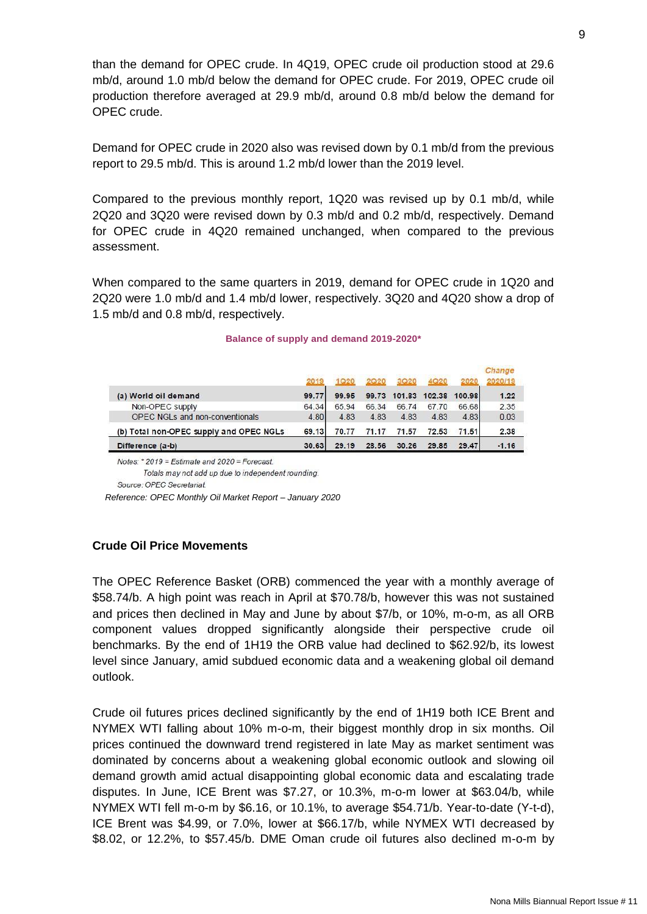than the demand for OPEC crude. In 4Q19, OPEC crude oil production stood at 29.6 mb/d, around 1.0 mb/d below the demand for OPEC crude. For 2019, OPEC crude oil production therefore averaged at 29.9 mb/d, around 0.8 mb/d below the demand for OPEC crude.

Demand for OPEC crude in 2020 also was revised down by 0.1 mb/d from the previous report to 29.5 mb/d. This is around 1.2 mb/d lower than the 2019 level.

Compared to the previous monthly report, 1Q20 was revised up by 0.1 mb/d, while 2Q20 and 3Q20 were revised down by 0.3 mb/d and 0.2 mb/d, respectively. Demand for OPEC crude in 4Q20 remained unchanged, when compared to the previous assessment.

When compared to the same quarters in 2019, demand for OPEC crude in 1Q20 and 2Q20 were 1.0 mb/d and 1.4 mb/d lower, respectively. 3Q20 and 4Q20 show a drop of 1.5 mb/d and 0.8 mb/d, respectively.

|                                         |       |       |       |        |        |        | Change<br>2020/19 |
|-----------------------------------------|-------|-------|-------|--------|--------|--------|-------------------|
| (a) World oil demand                    | 99.77 | 99.95 | 99.73 | 101.83 | 102.38 | 100.98 | 1.22              |
| Non-OPEC supply                         | 64.34 | 65.94 | 66.34 | 66.74  | 67.70  | 66.68  | 2.35              |
| OPEC NGLs and non-conventionals         | 4.80  | 4.83  | 4.83  | 4.83   | 4.83   | 4.83   | 0.03              |
| (b) Total non-OPEC supply and OPEC NGLs | 69.13 | 70.77 | 71.17 | 71.57  | 72.53  | 71.51  | 2.38              |
| Difference (a-b)                        | 30.63 | 29.19 | 28.56 | 30.26  | 29.85  | 29.47  | $-1.16$           |

### **Balance of supply and demand 2019-2020\***

Notes: \* 2019 = Estimate and 2020 = Forecast

Totals may not add up due to independent rounding.

Source: OPEC Secretariat.

 *Reference: OPEC Monthly Oil Market Report – January 2020*

## <span id="page-8-0"></span>**Crude Oil Price Movements**

The OPEC Reference Basket (ORB) commenced the year with a monthly average of \$58.74/b. A high point was reach in April at \$70.78/b, however this was not sustained and prices then declined in May and June by about \$7/b, or 10%, m-o-m, as all ORB component values dropped significantly alongside their perspective crude oil benchmarks. By the end of 1H19 the ORB value had declined to \$62.92/b, its lowest level since January, amid subdued economic data and a weakening global oil demand outlook.

Crude oil futures prices declined significantly by the end of 1H19 both ICE Brent and NYMEX WTI falling about 10% m-o-m, their biggest monthly drop in six months. Oil prices continued the downward trend registered in late May as market sentiment was dominated by concerns about a weakening global economic outlook and slowing oil demand growth amid actual disappointing global economic data and escalating trade disputes. In June, ICE Brent was \$7.27, or 10.3%, m-o-m lower at \$63.04/b, while NYMEX WTI fell m-o-m by \$6.16, or 10.1%, to average \$54.71/b. Year-to-date (Y-t-d), ICE Brent was \$4.99, or 7.0%, lower at \$66.17/b, while NYMEX WTI decreased by \$8.02, or 12.2%, to \$57.45/b. DME Oman crude oil futures also declined m-o-m by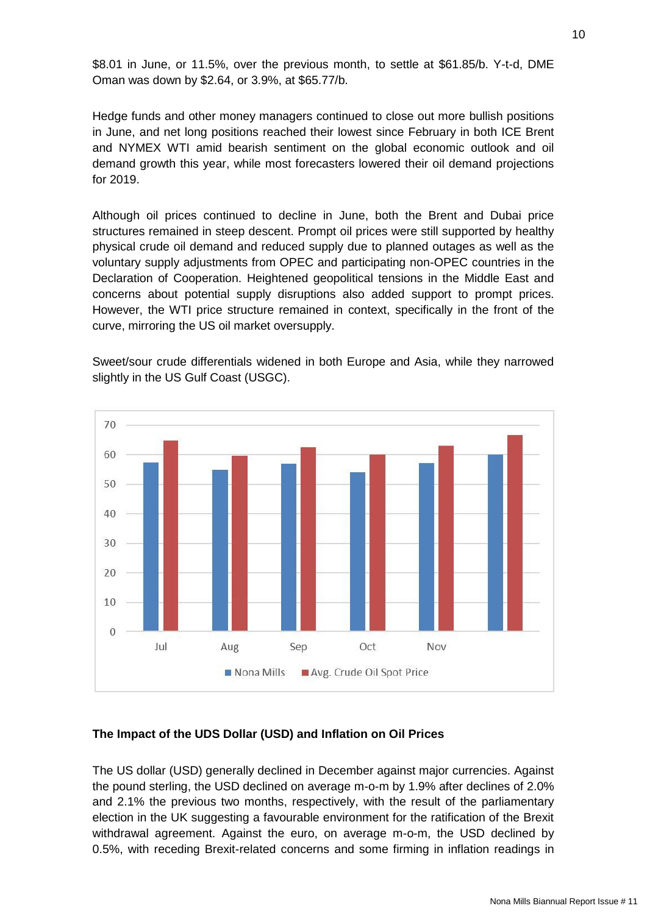\$8.01 in June, or 11.5%, over the previous month, to settle at \$61.85/b. Y-t-d, DME Oman was down by \$2.64, or 3.9%, at \$65.77/b.

Hedge funds and other money managers continued to close out more bullish positions in June, and net long positions reached their lowest since February in both ICE Brent and NYMEX WTI amid bearish sentiment on the global economic outlook and oil demand growth this year, while most forecasters lowered their oil demand projections for 2019.

Although oil prices continued to decline in June, both the Brent and Dubai price structures remained in steep descent. Prompt oil prices were still supported by healthy physical crude oil demand and reduced supply due to planned outages as well as the voluntary supply adjustments from OPEC and participating non-OPEC countries in the Declaration of Cooperation. Heightened geopolitical tensions in the Middle East and concerns about potential supply disruptions also added support to prompt prices. However, the WTI price structure remained in context, specifically in the front of the curve, mirroring the US oil market oversupply.

Sweet/sour crude differentials widened in both Europe and Asia, while they narrowed slightly in the US Gulf Coast (USGC).



### <span id="page-9-0"></span>**The Impact of the UDS Dollar (USD) and Inflation on Oil Prices**

The US dollar (USD) generally declined in December against major currencies. Against the pound sterling, the USD declined on average m-o-m by 1.9% after declines of 2.0% and 2.1% the previous two months, respectively, with the result of the parliamentary election in the UK suggesting a favourable environment for the ratification of the Brexit withdrawal agreement. Against the euro, on average m-o-m, the USD declined by 0.5%, with receding Brexit-related concerns and some firming in inflation readings in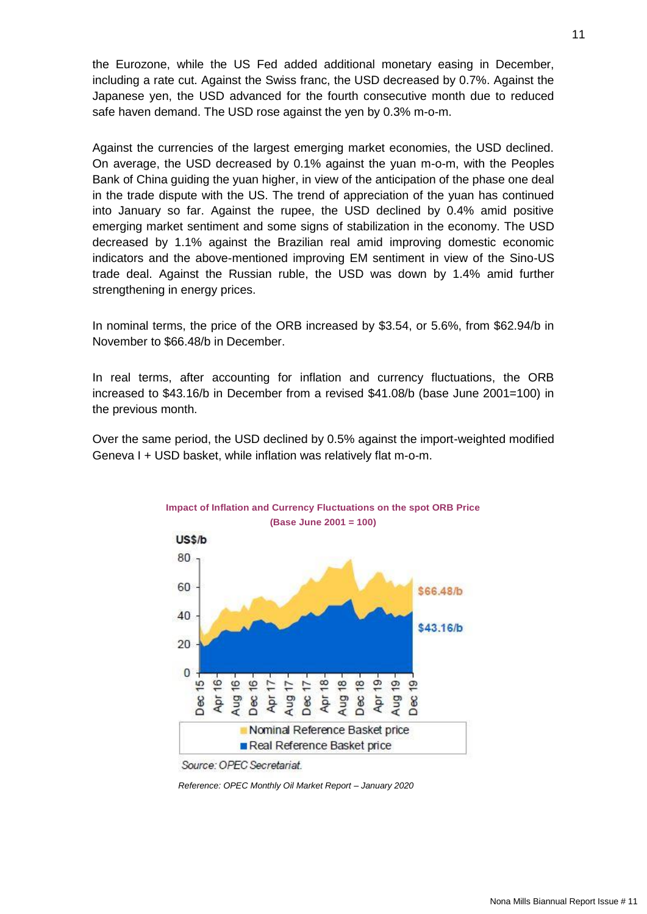the Eurozone, while the US Fed added additional monetary easing in December, including a rate cut. Against the Swiss franc, the USD decreased by 0.7%. Against the Japanese yen, the USD advanced for the fourth consecutive month due to reduced safe haven demand. The USD rose against the yen by 0.3% m-o-m.

Against the currencies of the largest emerging market economies, the USD declined. On average, the USD decreased by 0.1% against the yuan m-o-m, with the Peoples Bank of China guiding the yuan higher, in view of the anticipation of the phase one deal in the trade dispute with the US. The trend of appreciation of the yuan has continued into January so far. Against the rupee, the USD declined by 0.4% amid positive emerging market sentiment and some signs of stabilization in the economy. The USD decreased by 1.1% against the Brazilian real amid improving domestic economic indicators and the above-mentioned improving EM sentiment in view of the Sino-US trade deal. Against the Russian ruble, the USD was down by 1.4% amid further strengthening in energy prices.

In nominal terms, the price of the ORB increased by \$3.54, or 5.6%, from \$62.94/b in November to \$66.48/b in December.

In real terms, after accounting for inflation and currency fluctuations, the ORB increased to \$43.16/b in December from a revised \$41.08/b (base June 2001=100) in the previous month.

Over the same period, the USD declined by 0.5% against the import-weighted modified Geneva I + USD basket, while inflation was relatively flat m-o-m.



*Reference: OPEC Monthly Oil Market Report – January 2020*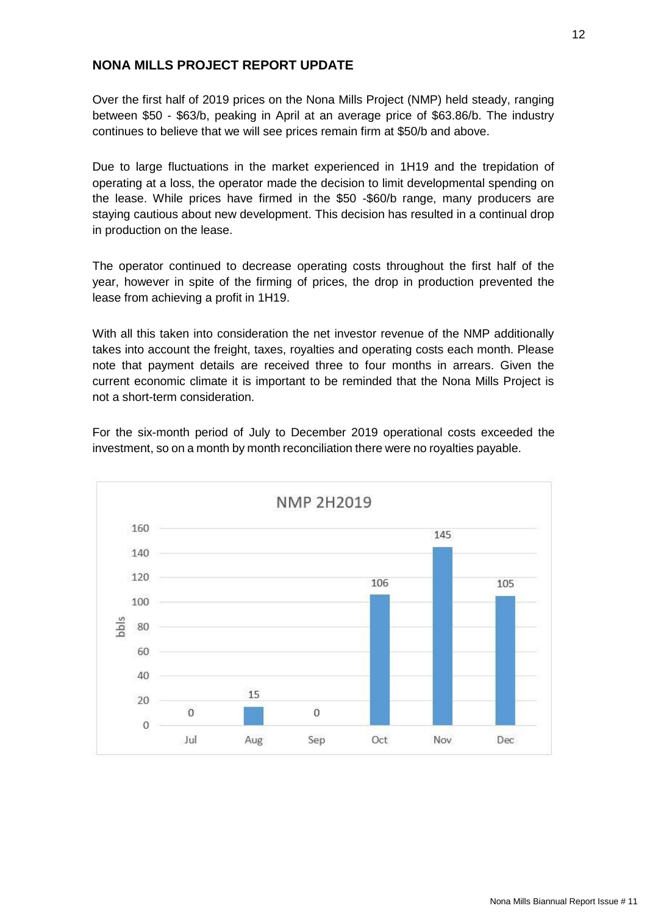## <span id="page-11-0"></span>**NONA MILLS PROJECT REPORT UPDATE**

Over the first half of 2019 prices on the Nona Mills Project (NMP) held steady, ranging between \$50 - \$63/b, peaking in April at an average price of \$63.86/b. The industry continues to believe that we will see prices remain firm at \$50/b and above.

Due to large fluctuations in the market experienced in 1H19 and the trepidation of operating at a loss, the operator made the decision to limit developmental spending on the lease. While prices have firmed in the \$50 -\$60/b range, many producers are staying cautious about new development. This decision has resulted in a continual drop in production on the lease.

The operator continued to decrease operating costs throughout the first half of the year, however in spite of the firming of prices, the drop in production prevented the lease from achieving a profit in 1H19.

With all this taken into consideration the net investor revenue of the NMP additionally takes into account the freight, taxes, royalties and operating costs each month. Please note that payment details are received three to four months in arrears. Given the current economic climate it is important to be reminded that the Nona Mills Project is not a short-term consideration.



For the six-month period of July to December 2019 operational costs exceeded the investment, so on a month by month reconciliation there were no royalties payable.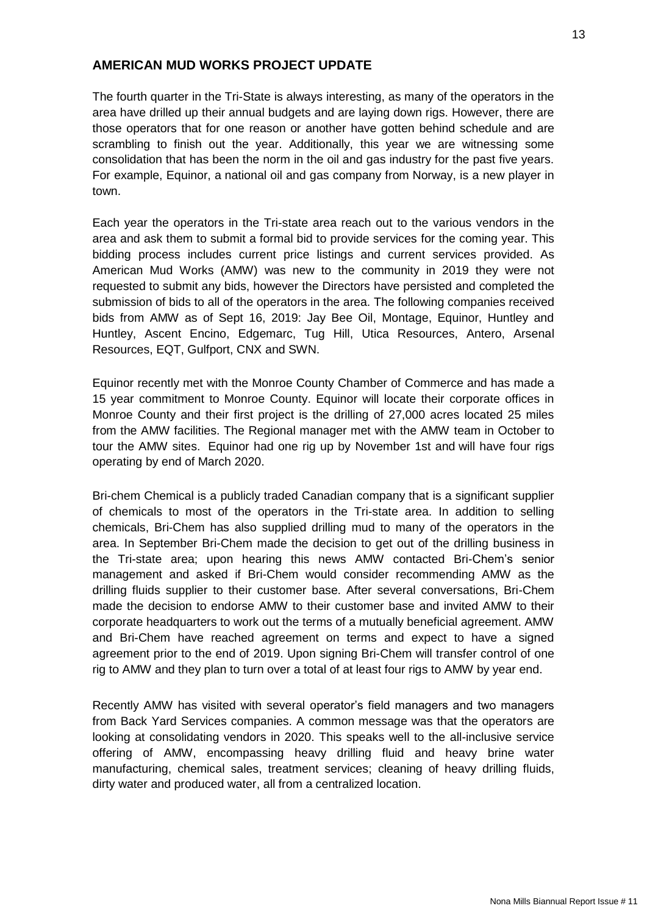## <span id="page-12-0"></span>**AMERICAN MUD WORKS PROJECT UPDATE**

The fourth quarter in the Tri-State is always interesting, as many of the operators in the area have drilled up their annual budgets and are laying down rigs. However, there are those operators that for one reason or another have gotten behind schedule and are scrambling to finish out the year. Additionally, this year we are witnessing some consolidation that has been the norm in the oil and gas industry for the past five years. For example, Equinor, a national oil and gas company from Norway, is a new player in town.

Each year the operators in the Tri-state area reach out to the various vendors in the area and ask them to submit a formal bid to provide services for the coming year. This bidding process includes current price listings and current services provided. As American Mud Works (AMW) was new to the community in 2019 they were not requested to submit any bids, however the Directors have persisted and completed the submission of bids to all of the operators in the area. The following companies received bids from AMW as of Sept 16, 2019: Jay Bee Oil, Montage, Equinor, Huntley and Huntley, Ascent Encino, Edgemarc, Tug Hill, Utica Resources, Antero, Arsenal Resources, EQT, Gulfport, CNX and SWN.

Equinor recently met with the Monroe County Chamber of Commerce and has made a 15 year commitment to Monroe County. Equinor will locate their corporate offices in Monroe County and their first project is the drilling of 27,000 acres located 25 miles from the AMW facilities. The Regional manager met with the AMW team in October to tour the AMW sites. Equinor had one rig up by November 1st and will have four rigs operating by end of March 2020.

Bri-chem Chemical is a publicly traded Canadian company that is a significant supplier of chemicals to most of the operators in the Tri-state area. In addition to selling chemicals, Bri-Chem has also supplied drilling mud to many of the operators in the area. In September Bri-Chem made the decision to get out of the drilling business in the Tri-state area; upon hearing this news AMW contacted Bri-Chem's senior management and asked if Bri-Chem would consider recommending AMW as the drilling fluids supplier to their customer base. After several conversations, Bri-Chem made the decision to endorse AMW to their customer base and invited AMW to their corporate headquarters to work out the terms of a mutually beneficial agreement. AMW and Bri-Chem have reached agreement on terms and expect to have a signed agreement prior to the end of 2019. Upon signing Bri-Chem will transfer control of one rig to AMW and they plan to turn over a total of at least four rigs to AMW by year end.

Recently AMW has visited with several operator's field managers and two managers from Back Yard Services companies. A common message was that the operators are looking at consolidating vendors in 2020. This speaks well to the all-inclusive service offering of AMW, encompassing heavy drilling fluid and heavy brine water manufacturing, chemical sales, treatment services; cleaning of heavy drilling fluids, dirty water and produced water, all from a centralized location.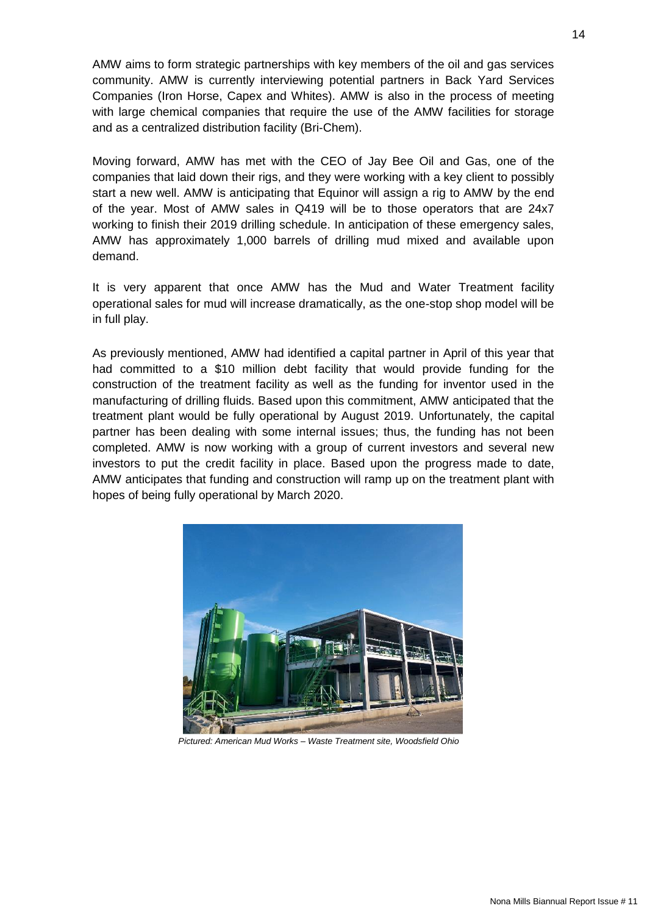AMW aims to form strategic partnerships with key members of the oil and gas services community. AMW is currently interviewing potential partners in Back Yard Services Companies (Iron Horse, Capex and Whites). AMW is also in the process of meeting with large chemical companies that require the use of the AMW facilities for storage and as a centralized distribution facility (Bri-Chem).

Moving forward, AMW has met with the CEO of Jay Bee Oil and Gas, one of the companies that laid down their rigs, and they were working with a key client to possibly start a new well. AMW is anticipating that Equinor will assign a rig to AMW by the end of the year. Most of AMW sales in Q419 will be to those operators that are 24x7 working to finish their 2019 drilling schedule. In anticipation of these emergency sales, AMW has approximately 1,000 barrels of drilling mud mixed and available upon demand.

It is very apparent that once AMW has the Mud and Water Treatment facility operational sales for mud will increase dramatically, as the one-stop shop model will be in full play.

As previously mentioned, AMW had identified a capital partner in April of this year that had committed to a \$10 million debt facility that would provide funding for the construction of the treatment facility as well as the funding for inventor used in the manufacturing of drilling fluids. Based upon this commitment, AMW anticipated that the treatment plant would be fully operational by August 2019. Unfortunately, the capital partner has been dealing with some internal issues; thus, the funding has not been completed. AMW is now working with a group of current investors and several new investors to put the credit facility in place. Based upon the progress made to date, AMW anticipates that funding and construction will ramp up on the treatment plant with hopes of being fully operational by March 2020.



*Pictured: American Mud Works – Waste Treatment site, Woodsfield Ohio*